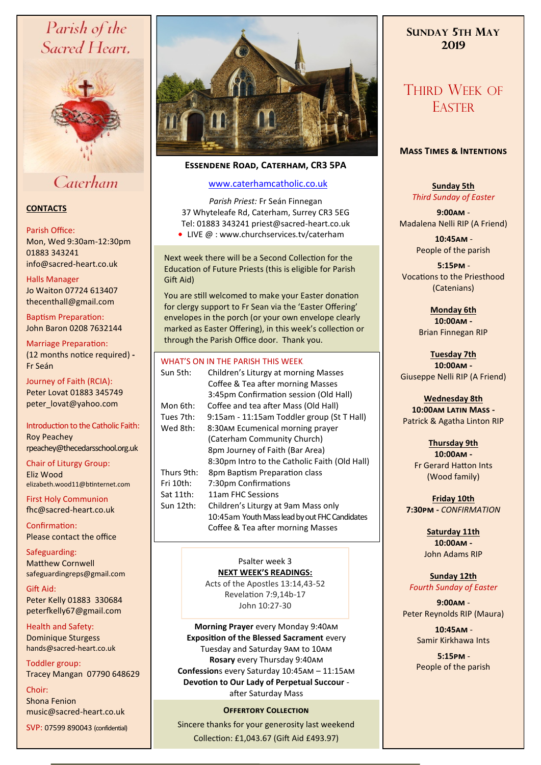# Parish of the Sacred Heart,



# Caterham

# **CONTACTS**

# Parish Office:

Mon, Wed 9:30am-12:30pm 01883 343241 info@sacred-heart.co.uk .

### Halls Manager

Jo Waiton 07724 613407 thecenthall@gmail.com

Baptism Preparation: John Baron 0208 7632144

Marriage Preparation: (12 months notice required) **-** Fr Seán

Journey of Faith (RCIA): Peter Lovat 01883 345749 peter\_lovat@yahoo.com

Introduction to the Catholic Faith: Roy Peachey rpeachey@thecedarsschool.org.uk

Chair of Liturgy Group: Eliz Wood elizabeth.wood11@btinternet.com

First Holy Communion fhc@sacred-heart.co.uk

Confirmation: Please contact the office

Safeguarding: Matthew Cornwell safeguardingreps@gmail.com

Gift Aid: Peter Kelly 01883 330684 peterfkelly67@gmail.com

Health and Safety: Dominique Sturgess hands@sacred-heart.co.uk

Toddler group: Tracey Mangan 07790 648629

Choir: Shona Fenion music@sacred-heart.co.uk

SVP: 07599 890043 (confidential)



# **Essendene Road, Caterham, CR3 5PA**

# [www.caterhamcatholic.co.uk](http://Www.caterhamcatholic.co.uk)

*Parish Priest:* Fr Seán Finnegan 37 Whyteleafe Rd, Caterham, Surrey CR3 5EG Tel: 01883 343241 priest@sacred-heart.co.uk

● LIVE @ : www.churchservices.tv/caterham

Next week there will be a Second Collection for the Education of Future Priests (this is eligible for Parish Gift Aid)

You are still welcomed to make your Easter donation for clergy support to Fr Sean via the 'Easter Offering' envelopes in the porch (or your own envelope clearly marked as Easter Offering), in this week's collection or through the Parish Office door. Thank you.

### WHAT'S ON IN THE PARISH THIS WEEK

|            | <u>VYIIAI JUNIIVIILEI AINJII IIIIJ VVLLIN</u> |
|------------|-----------------------------------------------|
| Sun 5th:   | Children's Liturgy at morning Masses          |
|            | Coffee & Tea after morning Masses             |
|            | 3:45pm Confirmation session (Old Hall)        |
| Mon 6th:   | Coffee and tea after Mass (Old Hall)          |
| Tues 7th:  | 9:15am - 11:15am Toddler group (St T Hall)    |
| Wed 8th:   | 8:30AM Ecumenical morning prayer              |
|            | (Caterham Community Church)                   |
|            | 8pm Journey of Faith (Bar Area)               |
|            | 8:30pm Intro to the Catholic Faith (Old Hall) |
| Thurs 9th: | 8pm Baptism Preparation class                 |
| Fri 10th:  | 7:30pm Confirmations                          |
| Sat 11th:  | 11am FHC Sessions                             |
| Sun 12th:  | Children's Liturgy at 9am Mass only           |
|            | 10:45am Youth Mass lead by out FHC Candidates |
|            | Coffee & Tea after morning Masses             |

## Psalter week 3 **NEXT WEEK'S READINGS:**

Acts of the Apostles 13:14,43-52 Revelation 7:9,14b-17 John 10:27-30

**Morning Prayer** every Monday 9:40am **Exposition of the Blessed Sacrament** every Tuesday and Saturday 9am to 10am **Rosary** every Thursday 9:40am **Confession**s every Saturday 10:45am – 11:15am **Devotion to Our Lady of Perpetual Succour**  after Saturday Mass

# **OFFERTORY COLLECTION**

Sincere thanks for your generosity last weekend Collection: £1,043.67 (Gift Aid £493.97)

# **SUNDAY 5TH MAY 2019**

# THIRD WEEK OF **EASTER**

# **Mass Times & Intentions**

# **Sunday 5th** *Third Sunday of Easter*

**9:00am** - Madalena Nelli RIP (A Friend)

> .**10:45am** - People of the parish

.**5:15pm** - Vocations to the Priesthood (Catenians)

> **Monday 6th 10:00am -**

Brian Finnegan RIP

**Tuesday 7th 10:00am -** Giuseppe Nelli RIP (A Friend)

**Wednesday 8th 10:00am Latin Mass -** Patrick & Agatha Linton RIP

> **Thursday 9th 10:00am -** Fr Gerard Hatton Ints (Wood family)

**Friday 10th 7:30pm -** *CONFIRMATION*

> **Saturday 11th 10:00am -**  John Adams RIP

**Sunday 12th** *Fourth Sunday of Easter*

**9:00am** - Peter Reynolds RIP (Maura)

> .**10:45am** - Samir Kirkhawa Ints

> .**5:15pm** - People of the parish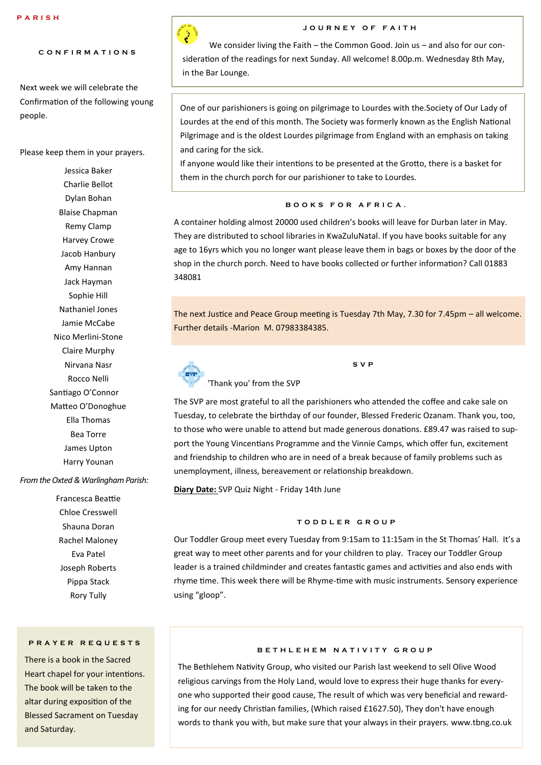# **C O N F I R M A T I O N S**

Next week we will celebrate the Confirmation of the following young people.

Please keep them in your prayers.

Jessica Baker Charlie Bellot Dylan Bohan Blaise Chapman Remy Clamp Harvey Crowe Jacob Hanbury Amy Hannan Jack Hayman Sophie Hill Nathaniel Jones Jamie McCabe Nico Merlini-Stone Claire Murphy Nirvana Nasr Rocco Nelli Santiago O'Connor Matteo O'Donoghue Ella Thomas Bea Torre James Upton Harry Younan

#### *From the Oxted & Warlingham Parish:*

Francesca Beattie Chloe Cresswell Shauna Doran Rachel Maloney Eva Patel Joseph Roberts Pippa Stack Rory Tully

# **P R A Y E R R E Q U E S T S**

There is a book in the Sacred Heart chapel for your intentions. The book will be taken to the altar during exposition of the Blessed Sacrament on Tuesday and Saturday.

# **J O U R N E Y O F F A I T H**

We consider living the Faith – the Common Good. Join us – and also for our consideration of the readings for next Sunday. All welcome! 8.00p.m. Wednesday 8th May, in the Bar Lounge.

One of our parishioners is going on pilgrimage to Lourdes with the.Society of Our Lady of Lourdes at the end of this month. The Society was formerly known as the English National Pilgrimage and is the oldest Lourdes pilgrimage from England with an emphasis on taking and caring for the sick.

If anyone would like their intentions to be presented at the Grotto, there is a basket for them in the church porch for our parishioner to take to Lourdes.

# **B O O K S F O R A F R I C A .**

A container holding almost 20000 used children's books will leave for Durban later in May. They are distributed to school libraries in KwaZuluNatal. If you have books suitable for any age to 16yrs which you no longer want please leave them in bags or boxes by the door of the shop in the church porch. Need to have books collected or further information? Call 01883 348081

The next Justice and Peace Group meeting is Tuesday 7th May, 7.30 for 7.45pm – all welcome. Further details -Marion M. 07983384385.

**S V P** 



'Thank you' from the SVP

The SVP are most grateful to all the parishioners who attended the coffee and cake sale on Tuesday, to celebrate the birthday of our founder, Blessed Frederic Ozanam. Thank you, too, to those who were unable to attend but made generous donations. £89.47 was raised to support the Young Vincentians Programme and the Vinnie Camps, which offer fun, excitement and friendship to children who are in need of a break because of family problems such as unemployment, illness, bereavement or relationship breakdown.

**Diary Date:** SVP Quiz Night - Friday 14th June

#### **T O D D L E R G R O U P**

Our Toddler Group meet every Tuesday from 9:15am to 11:15am in the St Thomas' Hall. It's a great way to meet other parents and for your children to play. Tracey our Toddler Group leader is a trained childminder and creates fantastic games and activities and also ends with rhyme time. This week there will be Rhyme-time with music instruments. Sensory experience using "gloop".

#### **B E T H L E H E M N A T I V I T Y G R O U P**

The Bethlehem Nativity Group, who visited our Parish last weekend to sell Olive Wood religious carvings from the Holy Land, would love to express their huge thanks for everyone who supported their good cause, The result of which was very beneficial and rewarding for our needy Christian families, (Which raised £1627.50), They don't have enough words to thank you with, but make sure that your always in their prayers. www.tbng.co.uk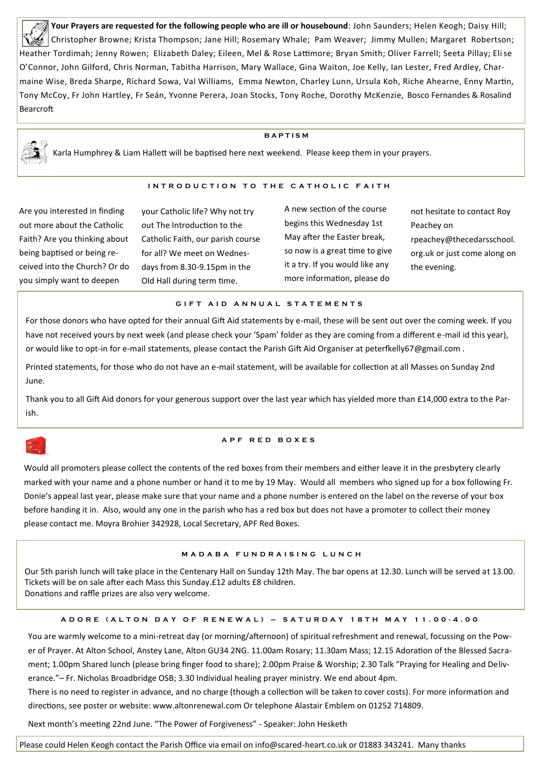**Your Prayers are requested for the following people who are ill or housebound**: John Saunders; Helen Keogh; Daisy Hill; Christopher Browne; Krista Thompson; Jane Hill; Rosemary Whale; Pam Weaver; Jimmy Mullen; Margaret Robertson; Heather Tordimah; Jenny Rowen; Elizabeth Daley; Eileen, Mel & Rose Lattimore; Bryan Smith; Oliver Farrell; Seeta Pillay; Elise O'Connor, John Gilford, Chris Norman, Tabitha Harrison, Mary Wallace, Gina Waiton, Joe Kelly, Ian Lester, Fred Ardley, Charmaine Wise, Breda Sharpe, Richard Sowa, Val Williams, Emma Newton, Charley Lunn, Ursula Koh, Riche Ahearne, Enny Martin, Tony McCoy, Fr John Hartley, Fr Seán, Yvonne Perera, Joan Stocks, Tony Roche, Dorothy McKenzie, Bosco Fernandes & Rosalind Bearcroft

#### **B A P T I S M**

Karla Humphrey & Liam Hallett will be baptised here next weekend. Please keep them in your prayers.

#### **INTRODUCTION TO THE CATHOLIC FAITH**

Are you interested in finding out more about the Catholic Faith? Are you thinking about being baptised or being received into the Church? Or do you simply want to deepen

your Catholic life? Why not try out The Introduction to the Catholic Faith, our parish course for all? We meet on Wednesdays from 8.30-9.15pm in the Old Hall during term time.

A new section of the course begins this Wednesday 1st May after the Easter break, so now is a great time to give it a try. If you would like any more information, please do

not hesitate to contact Roy Peachey on rpeachey@thecedarsschool. org.uk or just come along on the evening.

#### **G I F T A I D A N N U A L S T A T E M E N T S**

For those donors who have opted for their annual Gift Aid statements by e-mail, these will be sent out over the coming week. If you have not received yours by next week (and please check your 'Spam' folder as they are coming from a different e-mail id this year), or would like to opt-in for e-mail statements, please contact the Parish Gift Aid Organiser at peterfkelly67@gmail.com .

Printed statements, for those who do not have an e-mail statement, will be available for collection at all Masses on Sunday 2nd June.

Thank you to all Gift Aid donors for your generous support over the last year which has yielded more than £14,000 extra to the Parish.

#### **A P F R E D B O X E S**

Would all promoters please collect the contents of the red boxes from their members and either leave it in the presbytery clearly marked with your name and a phone number or hand it to me by 19 May. Would all members who signed up for a box following Fr. Donie's appeal last year, please make sure that your name and a phone number is entered on the label on the reverse of your box before handing it in. Also, would any one in the parish who has a red box but does not have a promoter to collect their money please contact me. Moyra Brohier 342928, Local Secretary, APF Red Boxes.

## **M A D A B A F U N D R A I S I N G L U N C H**

Our 5th parish lunch will take place in the Centenary Hall on Sunday 12th May. The bar opens at 12.30. Lunch will be served at 13.00. Tickets will be on sale after each Mass this Sunday.£12 adults £8 children. Donations and raffle prizes are also very welcome.

#### **A D O R E ( A L T O N D A Y O F R E N E W A L ) – S A T U R D A Y 1 8 T H M A Y 1 1 . 0 0 - 4 . 0 0**

You are warmly welcome to a mini-retreat day (or morning/afternoon) of spiritual refreshment and renewal, focussing on the Power of Prayer. At Alton School, Anstey Lane, Alton GU34 2NG. 11.00am Rosary; 11.30am Mass; 12.15 Adoration of the Blessed Sacrament; 1.00pm Shared lunch (please bring finger food to share); 2.00pm Praise & Worship; 2.30 Talk "Praying for Healing and Deliverance."– Fr. Nicholas Broadbridge OSB; 3.30 Individual healing prayer ministry. We end about 4pm.

There is no need to register in advance, and no charge (though a collection will be taken to cover costs). For more information and directions, see poster or website: www.altonrenewal.com Or telephone Alastair Emblem on 01252 714809.

Next month's meeting 22nd June. "The Power of Forgiveness" - Speaker: John Hesketh

Please could Helen Keogh contact the Parish Office via email on info@scared-heart.co.uk or 01883 343241. Many thanks